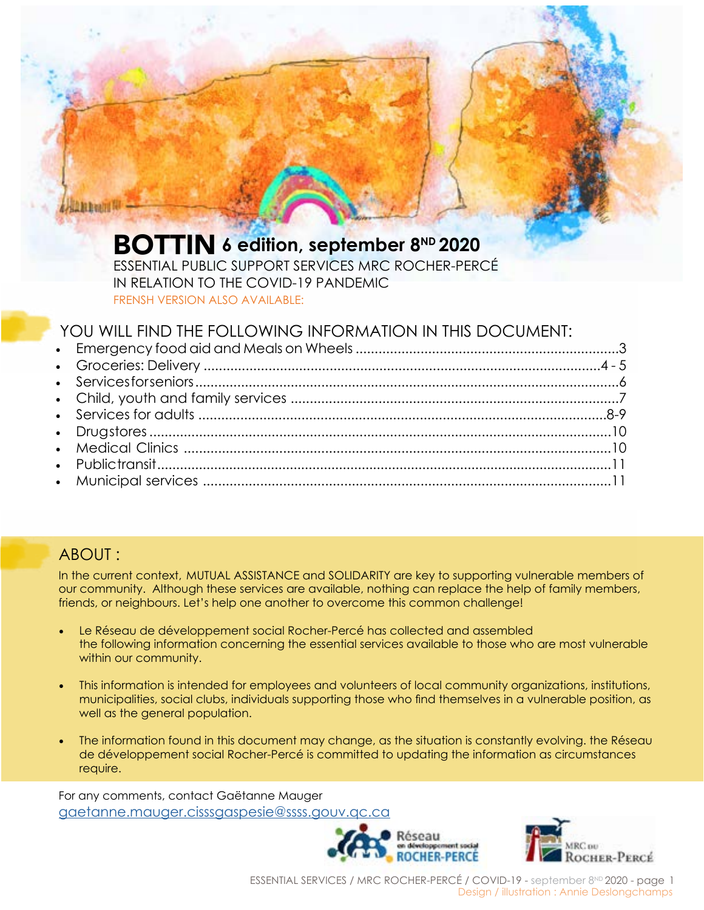## **BOTTIN** 6 edition, september 8<sup>ND</sup> 2020 ESSENTIAL PUBLIC SUPPORT SERVICES MRC ROCHER-PERCÉ IN RELATION TO THE COVID-19 PANDEMIC

FRENSH VERSION ALSO AVAILABLE:

#### YOU WILL FIND THE FOLLOWING INFORMATION IN THIS DOCUMENT:

#### ABOUT :

**Johnson** 

In the current context, MUTUAL ASSISTANCE and SOLIDARITY are key to supporting vulnerable members of our community. Although these services are available, nothing can replace the help of family members, friends, or neighbours. Let's help one another to overcome this common challenge!

- Le Réseau de développement social Rocher-Percé has collected and assembled the following information concerning the essential services available to those who are most vulnerable within our community.
- This information is intended for employees and volunteers of local community organizations, institutions, municipalities, social clubs, individuals supporting those who find themselves in a vulnerable position, as well as the general population.
- The information found in this document may change, as the situation is constantly evolving. the Réseau de développement social Rocher-Percé is committed to updating the information as circumstances require.

For any comments, contact Gaëtanne Mauger [gaetanne.mauger.cisssgaspesie@ssss.gouv.qc.ca](mailto:gaetanne.mauger.cisssgaspesie%40ssss.gouv.qc.ca%20%0D?subject=)





ESSENTIAL SERVICES / MRC ROCHER-PERCÉ / COVID-19 - september 8<sup>ND</sup> 2020 - page 1 Design / illustration : Annie Deslongchamps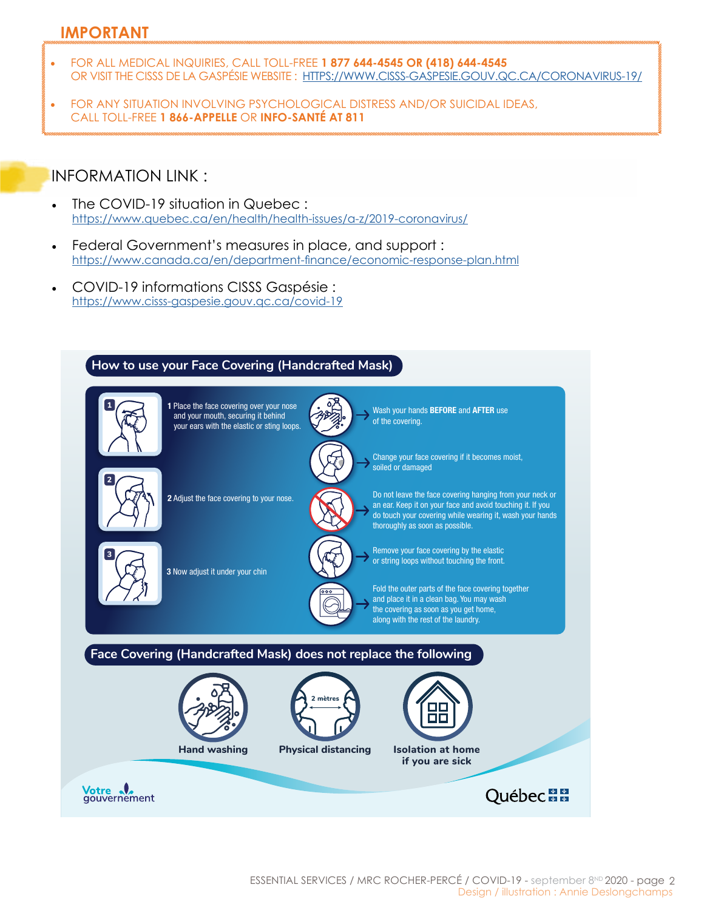# **IMPORTANT**

- FOR ALL MEDICAL INQUIRIES, CALL TOLL-FREE **1 877 644-4545 OR (418) 644-4545** OR VISIT THE CISSS DE LA GASPÉSIE WEBSITE : [HTTPS://WWW.CISSS-GASPESIE.GOUV.QC.CA/CORONAVIRUS-19/](https://www.cisss-gaspesie.gouv.qc.ca/coronavirus-19/) **• Warning:**
- FOR ANY SITUATION INVOLVING PSYCHOLOGICAL DISTRESS AND/OR SUICIDAL IDEAS, CALL TOLL-FREE **1 866-APPELLE** OR **INFO-SANTÉ AT 811**

#### $\blacksquare$ INFORMATION LINK :

**should not wear them.**

- The COVID-19 situation in Quebec : nto compary shoanori in accoco.<br><https://www.quebec.ca/en/health/health-issues/a-z/2019-coronavirus/>  $I_{1}$ , www.qocbec.ed/en/neuml/neuml-issues/d-2/2017-colondition to  $I_{2}$
- Federal Government's measures in place, and support : <u><https://www.canada.ca/en/department-finance/economic-response-plan.html></u>
- COVID-19 informations CISSS Gaspésie : **Why?** [https://www.cisss-gaspesie.gouv.qc.ca/covid-19](https://www.cisss-gaspesie.gouv.qc.ca/covid-19/ ) wearing a face covering a face of an infected person unknown unknown unknown under the risk of an infectious tra

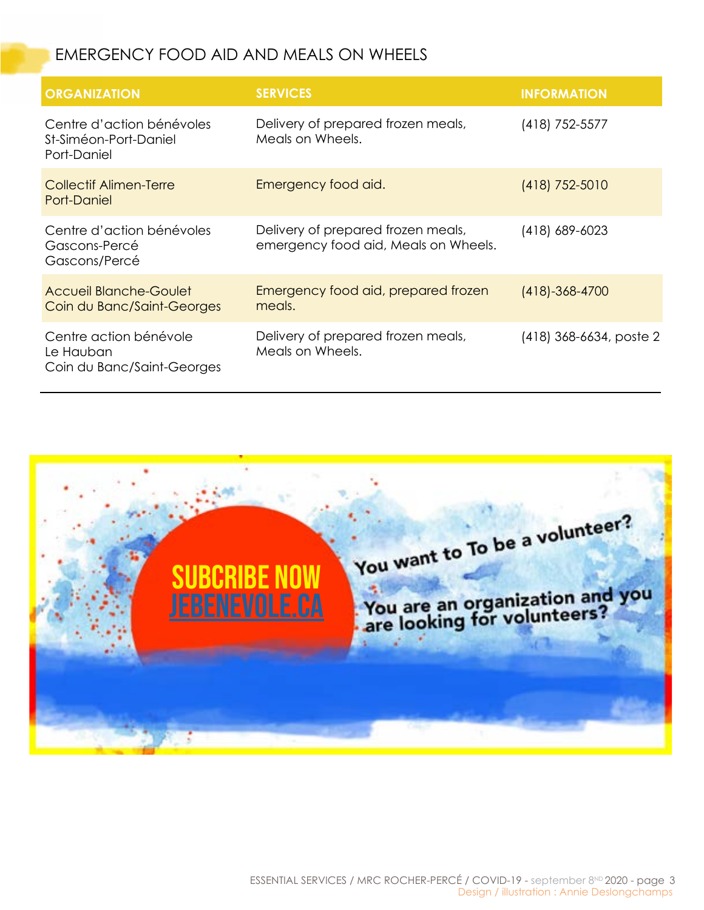### EMERGENCY FOOD AID AND MEALS ON WHEELS

| <b>ORGANIZATION</b>                                               | <b>SERVICES</b>                                                            | <b>INFORMATION</b>      |
|-------------------------------------------------------------------|----------------------------------------------------------------------------|-------------------------|
| Centre d'action bénévoles<br>St-Siméon-Port-Daniel<br>Port-Daniel | Delivery of prepared frozen meals,<br>Meals on Wheels.                     | (418) 752-5577          |
| Collectif Alimen-Terre<br>Port-Daniel                             | Emergency food aid.                                                        | (418) 752-5010          |
| Centre d'action bénévoles<br>Gascons-Percé<br>Gascons/Percé       | Delivery of prepared frozen meals,<br>emergency food aid, Meals on Wheels. | (418) 689-6023          |
| <b>Accueil Blanche-Goulet</b><br>Coin du Banc/Saint-Georges       | Emergency food aid, prepared frozen<br>meals.                              | $(418) - 368 - 4700$    |
| Centre action bénévole<br>Le Hauban<br>Coin du Banc/Saint-Georges | Delivery of prepared frozen meals,<br>Meals on Wheels.                     | (418) 368-6634, poste 2 |

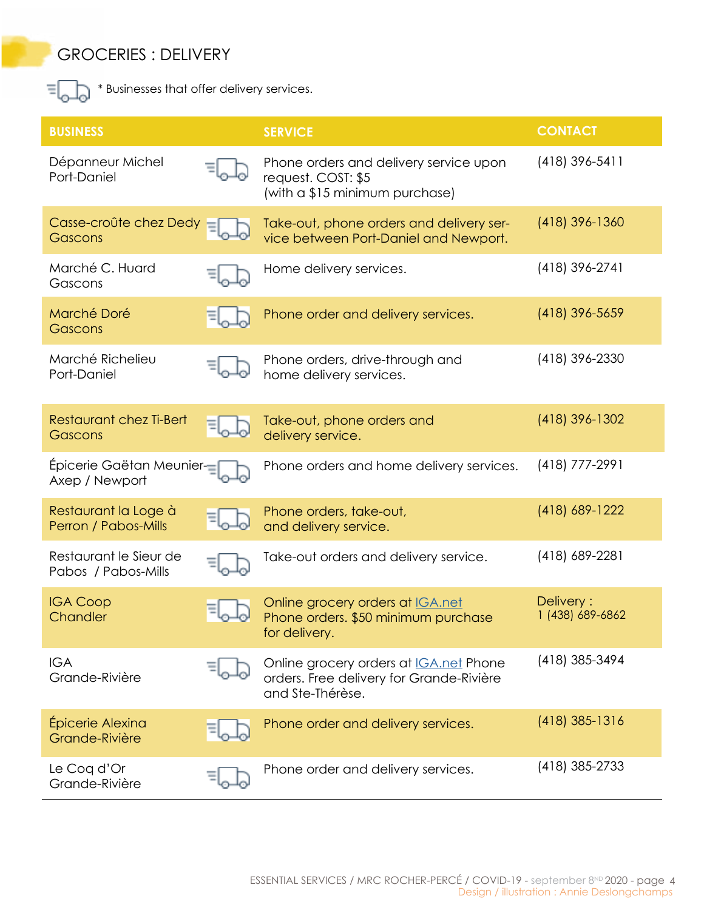### GROCERIES : DELIVERY



 $E_{\text{max}}$  \* Businesses that offer delivery services.

| <b>BUSINESS</b>                               | <b>SERVICE</b>                                                                                                 | <b>CONTACT</b>                |
|-----------------------------------------------|----------------------------------------------------------------------------------------------------------------|-------------------------------|
| Dépanneur Michel<br>Port-Daniel               | Phone orders and delivery service upon<br>request. COST: \$5<br>(with a \$15 minimum purchase)                 | (418) 396-5411                |
| Casse-croûte chez Dedy<br>Gascons             | Take-out, phone orders and delivery ser-<br>vice between Port-Daniel and Newport.                              | $(418)$ 396-1360              |
| Marché C. Huard<br>Gascons                    | Home delivery services.                                                                                        | (418) 396-2741                |
| Marché Doré<br>Gascons                        | Phone order and delivery services.                                                                             | (418) 396-5659                |
| Marché Richelieu<br>Port-Daniel               | Phone orders, drive-through and<br>home delivery services.                                                     | (418) 396-2330                |
| Restaurant chez Ti-Bert<br>Gascons            | Take-out, phone orders and<br>delivery service.                                                                | (418) 396-1302                |
| Épicerie Gaëtan Meunier-<br>Axep / Newport    | Phone orders and home delivery services.                                                                       | $(418)$ 777-2991              |
| Restaurant la Loge à<br>Perron / Pabos-Mills  | Phone orders, take-out,<br>and delivery service.                                                               | (418) 689-1222                |
| Restaurant le Sieur de<br>Pabos / Pabos-Mills | Take-out orders and delivery service.                                                                          | (418) 689-2281                |
| <b>IGA Coop</b><br>Chandler                   | Online grocery orders at IGA.net<br>Phone orders. \$50 minimum purchase<br>for delivery.                       | Delivery:<br>1 (438) 689-6862 |
| <b>IGA</b><br>Grande-Rivière                  | Online grocery orders at <b>IGA</b> .net Phone<br>orders. Free delivery for Grande-Rivière<br>and Ste-Thérèse. | (418) 385-3494                |
| Épicerie Alexina<br>Grande-Rivière            | Phone order and delivery services.                                                                             | $(418)$ 385-1316              |
| Le Coq d'Or<br>Grande-Rivière                 | Phone order and delivery services.                                                                             | (418) 385-2733                |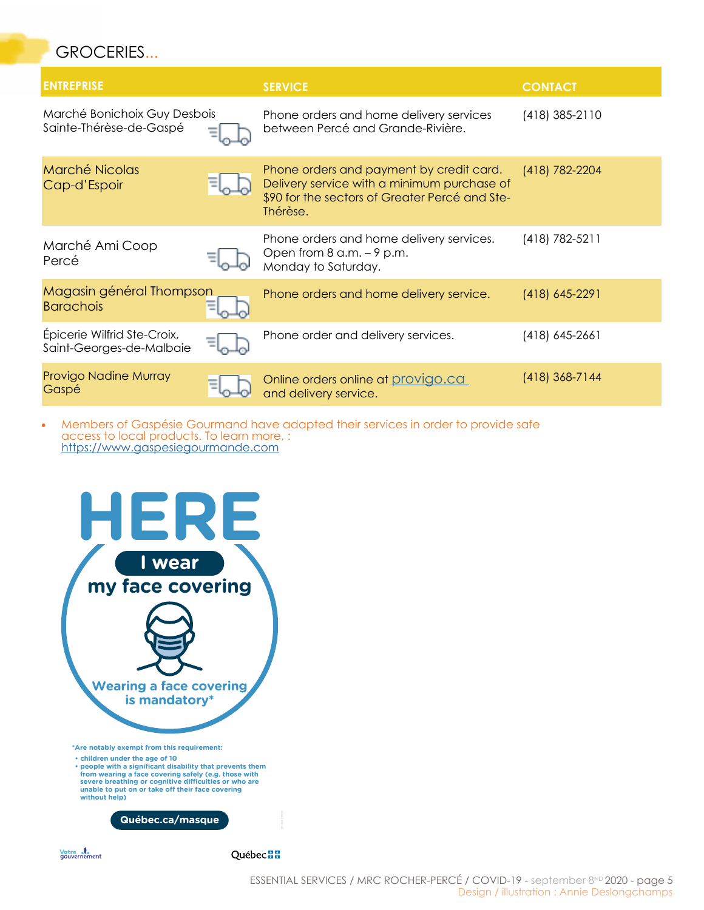### GROCERIES...

| <b>ENTREPRISE</b>                                       | <b>SERVICE</b>                                                                                                                                        | <b>CONTACT</b>     |
|---------------------------------------------------------|-------------------------------------------------------------------------------------------------------------------------------------------------------|--------------------|
| Marché Bonichoix Guy Desbois<br>Sainte-Thérèse-de-Gaspé | Phone orders and home delivery services<br>between Percé and Grande-Rivière.                                                                          | $(418)$ 385-2110   |
| <b>Marché Nicolas</b><br>Cap-d'Espoir                   | Phone orders and payment by credit card.<br>Delivery service with a minimum purchase of<br>\$90 for the sectors of Greater Percé and Ste-<br>Thérèse. | (418) 782-2204     |
| Marché Ami Coop<br>Percé                                | Phone orders and home delivery services.<br>Open from $8$ a.m. $-9$ p.m.<br>Monday to Saturday.                                                       | (418) 782-5211     |
| Magasin général Thompson<br><b>Barachois</b>            | Phone orders and home delivery service.                                                                                                               | $(418) 645 - 2291$ |
| Épicerie Wilfrid Ste-Croix,<br>Saint-Georges-de-Malbaie | Phone order and delivery services.                                                                                                                    | $(418)$ 645-2661   |
| Provigo Nadine Murray<br>Gaspé                          | Online orders online at provigo.ca<br>and delivery service.                                                                                           | (418) 368-7144     |

• Members of Gaspésie Gourmand have adapted their services in order to provide safe access to local products. To learn more, : [https://www.gaspesiegourmande.com](https://www.gaspesiegourmande.com/decouvrez-les-initiatives-des-nos-membres?Filtre=2&fbclid=IwAR01jtvRmXV8z1aBjLGLKCuPalfkus92eUvpkaMh56zZpfZZQ-rXbaPuV20)



Votre verment

**Québec<sup>1</sup>**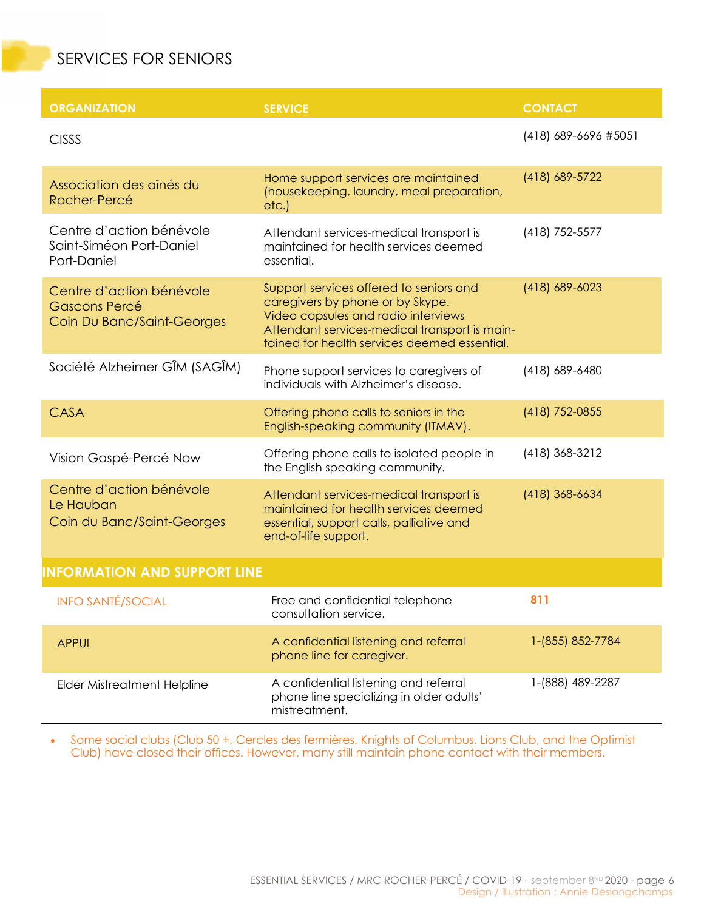### SERVICES FOR SENIORS

| <b>ORGANIZATION</b>                                                            | <b>SERVICE</b>                                                                                                                                                                                                      | <b>CONTACT</b>       |  |
|--------------------------------------------------------------------------------|---------------------------------------------------------------------------------------------------------------------------------------------------------------------------------------------------------------------|----------------------|--|
| <b>CISSS</b>                                                                   |                                                                                                                                                                                                                     | (418) 689-6696 #5051 |  |
| Association des aînés du<br>Rocher-Percé                                       | Home support services are maintained<br>(housekeeping, laundry, meal preparation,<br>etc.)                                                                                                                          | (418) 689-5722       |  |
| Centre d'action bénévole<br>Saint-Siméon Port-Daniel<br>Port-Daniel            | Attendant services-medical transport is<br>maintained for health services deemed<br>essential.                                                                                                                      | (418) 752-5577       |  |
| Centre d'action bénévole<br><b>Gascons Percé</b><br>Coin Du Banc/Saint-Georges | Support services offered to seniors and<br>caregivers by phone or by Skype.<br>Video capsules and radio interviews<br>Attendant services-medical transport is main-<br>tained for health services deemed essential. | (418) 689-6023       |  |
| Société Alzheimer GÎM (SAGÎM)                                                  | Phone support services to caregivers of<br>individuals with Alzheimer's disease.                                                                                                                                    | $(418)$ 689-6480     |  |
| <b>CASA</b>                                                                    | Offering phone calls to seniors in the<br>English-speaking community (ITMAV).                                                                                                                                       | (418) 752-0855       |  |
| Vision Gaspé-Percé Now                                                         | Offering phone calls to isolated people in<br>the English speaking community.                                                                                                                                       | (418) 368-3212       |  |
| Centre d'action bénévole<br>Le Hauban<br>Coin du Banc/Saint-Georges            | Attendant services-medical transport is<br>maintained for health services deemed<br>essential, support calls, palliative and<br>end-of-life support.                                                                | $(418)$ 368-6634     |  |
| <b>INFORMATION AND SUPPORT LINE</b>                                            |                                                                                                                                                                                                                     |                      |  |
| <b>INFO SANTÉ/SOCIAL</b>                                                       | Free and confidential telephone<br>consultation service.                                                                                                                                                            | 811                  |  |
| <b>APPUI</b>                                                                   | A confidential listening and referral<br>phone line for caregiver.                                                                                                                                                  | 1-(855) 852-7784     |  |
| <b>Elder Mistreatment Helpline</b>                                             | A confidential listening and referral<br>phone line specializing in older adults'<br>mistreatment.                                                                                                                  | 1-(888) 489-2287     |  |

• Some social clubs (Club 50 +, Cercles des fermières, Knights of Columbus, Lions Club, and the Optimist Club) have closed their offices. However, many still maintain phone contact with their members.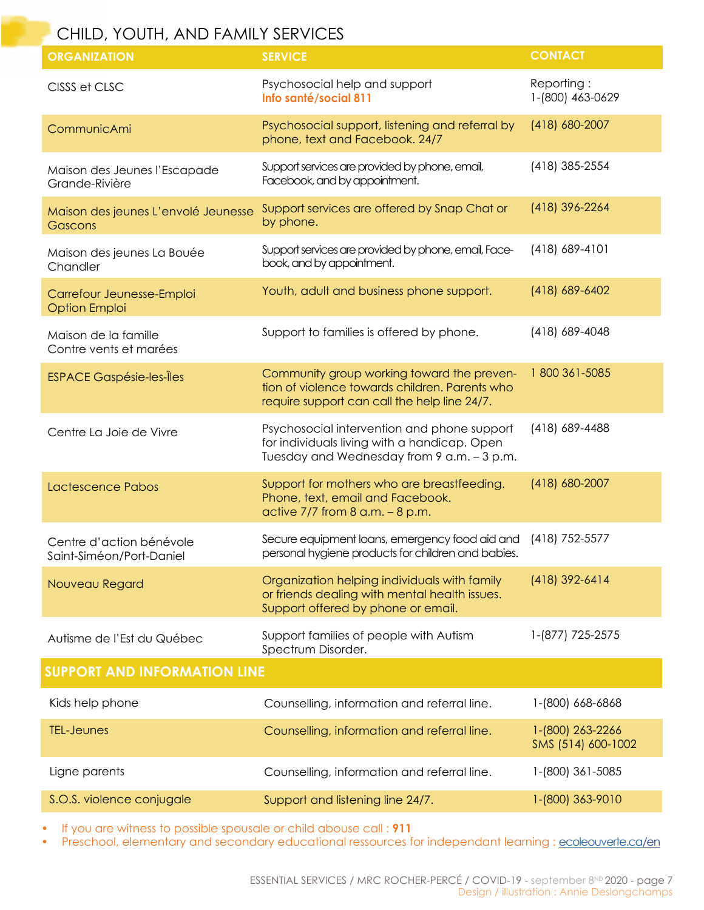### CHILD, YOUTH, AND FAMILY SERVICES

| <b>ORGANIZATION</b>                                  | <b>SERVICE</b>                                                                                                                               | <b>CONTACT</b>                         |  |
|------------------------------------------------------|----------------------------------------------------------------------------------------------------------------------------------------------|----------------------------------------|--|
| CISSS et CLSC                                        | Psychosocial help and support<br>Info santé/social 811                                                                                       | Reporting:<br>1-(800) 463-0629         |  |
| CommunicAmi                                          | Psychosocial support, listening and referral by<br>phone, text and Facebook. 24/7                                                            | (418) 680-2007                         |  |
| Maison des Jeunes l'Escapade<br>Grande-Rivière       | Support services are provided by phone, email,<br>Facebook, and by appointment.                                                              | (418) 385-2554                         |  |
| Maison des jeunes L'envolé Jeunesse<br>Gascons       | Support services are offered by Snap Chat or<br>by phone.                                                                                    | (418) 396-2264                         |  |
| Maison des jeunes La Bouée<br>Chandler               | Support services are provided by phone, email, Face-<br>book, and by appointment.                                                            | $(418)$ 689-4101                       |  |
| Carrefour Jeunesse-Emploi<br><b>Option Emploi</b>    | Youth, adult and business phone support.                                                                                                     | $(418)$ 689-6402                       |  |
| Maison de la famille<br>Contre vents et marées       | Support to families is offered by phone.                                                                                                     | $(418)$ 689-4048                       |  |
| <b>ESPACE Gaspésie-les-Îles</b>                      | Community group working toward the preven-<br>tion of violence towards children. Parents who<br>require support can call the help line 24/7. | 1800 361-5085                          |  |
| Centre La Joie de Vivre                              | Psychosocial intervention and phone support<br>for individuals living with a handicap. Open<br>Tuesday and Wednesday from 9 a.m. - 3 p.m.    | (418) 689-4488                         |  |
| Lactescence Pabos                                    | Support for mothers who are breastfeeding.<br>Phone, text, email and Facebook.<br>active $7/7$ from $8$ a.m. $-8$ p.m.                       | (418) 680-2007                         |  |
| Centre d'action bénévole<br>Saint-Siméon/Port-Daniel | Secure equipment loans, emergency food aid and<br>personal hygiene products for children and babies.                                         | (418) 752-5577                         |  |
| Nouveau Regard                                       | Organization helping individuals with family<br>or friends dealing with mental health issues.<br>Support offered by phone or email.          | $(418)$ 392-6414                       |  |
| Autisme de l'Est du Québec                           | Support families of people with Autism<br>Spectrum Disorder.                                                                                 | 1-(877) 725-2575                       |  |
| <b>SUPPORT AND INFORMATION LINE</b>                  |                                                                                                                                              |                                        |  |
| Kids help phone                                      | Counselling, information and referral line.                                                                                                  | 1-(800) 668-6868                       |  |
| <b>TEL-Jeunes</b>                                    | Counselling, information and referral line.                                                                                                  | 1-(800) 263-2266<br>SMS (514) 600-1002 |  |
| Ligne parents                                        | Counselling, information and referral line.                                                                                                  | 1-(800) 361-5085                       |  |
| S.O.S. violence conjugale                            | Support and listening line 24/7.                                                                                                             | 1-(800) 363-9010                       |  |

• If you are witness to possible spousale or child abouse call : **911**

• Preschool, elementary and secondary educational ressources for independant learning : [ecoleouverte.ca/](https://ecoleouverte.ca/en/)en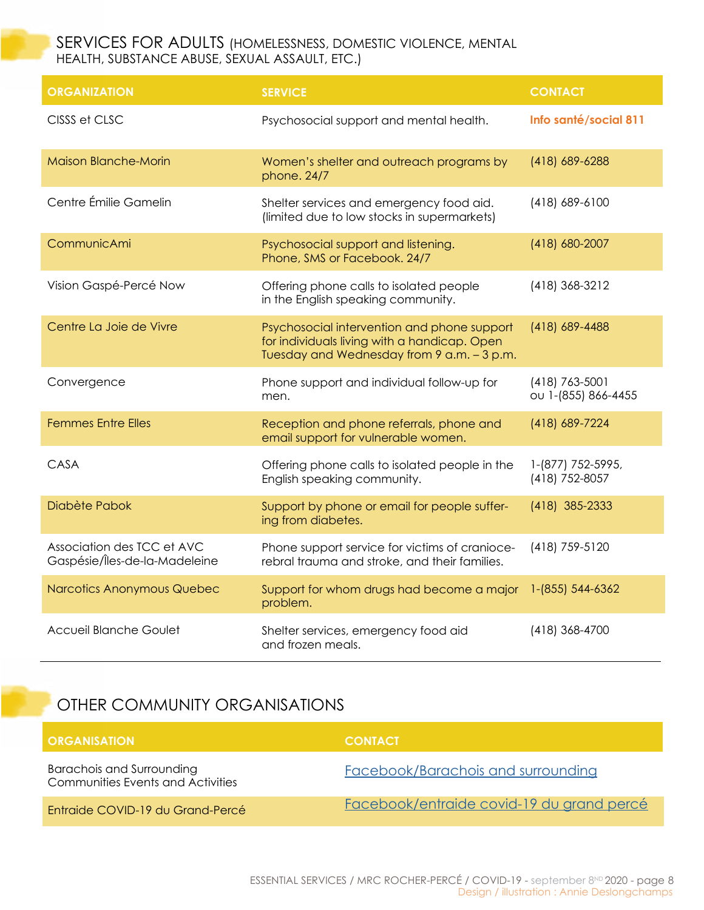#### SERVICES FOR ADULTS (HOMELESSNESS, DOMESTIC VIOLENCE, MENTAL HEALTH, SUBSTANCE ABUSE, SEXUAL ASSAULT, ETC.)

| <b>ORGANIZATION</b>                                         | <b>SERVICE</b>                                                                                                                            | <b>CONTACT</b>                        |
|-------------------------------------------------------------|-------------------------------------------------------------------------------------------------------------------------------------------|---------------------------------------|
| CISSS et CLSC                                               | Psychosocial support and mental health.                                                                                                   | Info santé/social 811                 |
| <b>Maison Blanche-Morin</b>                                 | Women's shelter and outreach programs by<br>phone. 24/7                                                                                   | (418) 689-6288                        |
| Centre Émilie Gamelin                                       | Shelter services and emergency food aid.<br>(limited due to low stocks in supermarkets)                                                   | (418) 689-6100                        |
| CommunicAmi                                                 | Psychosocial support and listening.<br>Phone, SMS or Facebook. 24/7                                                                       | (418) 680-2007                        |
| Vision Gaspé-Percé Now                                      | Offering phone calls to isolated people<br>in the English speaking community.                                                             | $(418)$ 368-3212                      |
| Centre La Joie de Vivre                                     | Psychosocial intervention and phone support<br>for individuals living with a handicap. Open<br>Tuesday and Wednesday from 9 a.m. - 3 p.m. | (418) 689-4488                        |
| Convergence                                                 | Phone support and individual follow-up for<br>men.                                                                                        | (418) 763-5001<br>ou 1-(855) 866-4455 |
| <b>Femmes Entre Elles</b>                                   | Reception and phone referrals, phone and<br>email support for vulnerable women.                                                           | (418) 689-7224                        |
| CASA                                                        | Offering phone calls to isolated people in the<br>English speaking community.                                                             | 1-(877) 752-5995,<br>(418) 752-8057   |
| Diabète Pabok                                               | Support by phone or email for people suffer-<br>ing from diabetes.                                                                        | (418) 385-2333                        |
| Association des TCC et AVC<br>Gaspésie/Îles-de-la-Madeleine | Phone support service for victims of cranioce-<br>rebral trauma and stroke, and their families.                                           | (418) 759-5120                        |
| <b>Narcotics Anonymous Quebec</b>                           | Support for whom drugs had become a major<br>problem.                                                                                     | 1-(855) 544-6362                      |
| Accueil Blanche Goulet                                      | Shelter services, emergency food aid<br>and frozen meals.                                                                                 | (418) 368-4700                        |

#### OTHER COMMUNITY ORGANISATIONS

| <b>ORGANISATION</b>                                                   | <b>CONTACT</b>                            |
|-----------------------------------------------------------------------|-------------------------------------------|
| Barachois and Surrounding<br><b>Communities Events and Activities</b> | <b>Facebook/Barachois and surrounding</b> |
| Entraide COVID-19 du Grand-Percé                                      | Facebook/entraide covid-19 du grand percé |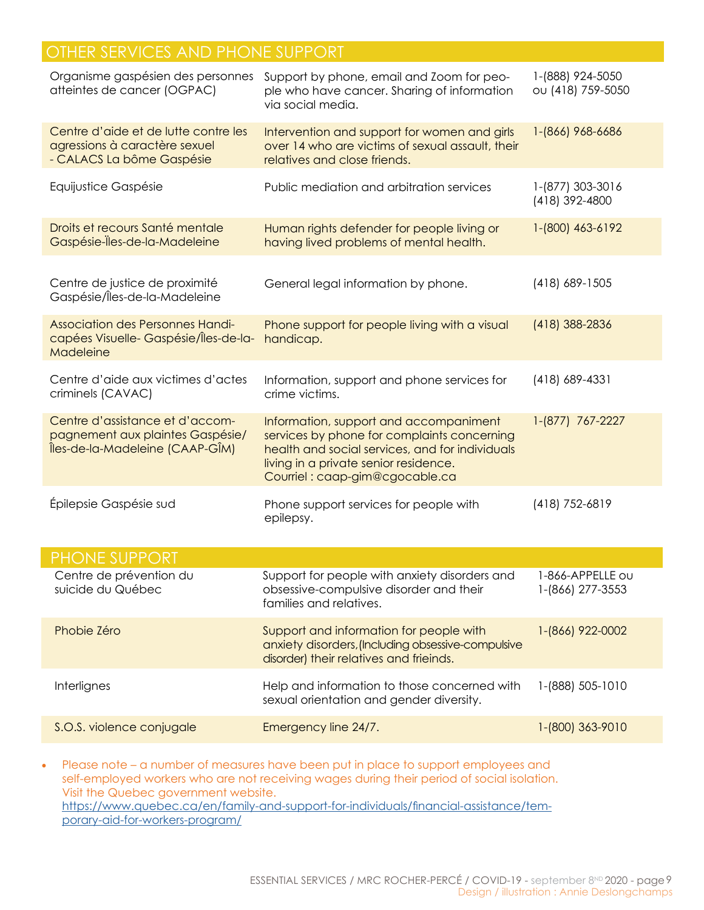#### OTHER SERVICES AND PHONE SUPPORT

| Organisme gaspésien des personnes<br>atteintes de cancer (OGPAC)                                       | Support by phone, email and Zoom for peo-<br>ple who have cancer. Sharing of information<br>via social media.                                                                                                       | 1-(888) 924-5050<br>ou (418) 759-5050 |
|--------------------------------------------------------------------------------------------------------|---------------------------------------------------------------------------------------------------------------------------------------------------------------------------------------------------------------------|---------------------------------------|
| Centre d'aide et de lutte contre les<br>agressions à caractère sexuel<br>- CALACS La bôme Gaspésie     | Intervention and support for women and girls<br>over 14 who are victims of sexual assault, their<br>relatives and close friends.                                                                                    | 1-(866) 968-6686                      |
| Equijustice Gaspésie                                                                                   | Public mediation and arbitration services                                                                                                                                                                           | 1-(877) 303-3016<br>(418) 392-4800    |
| Droits et recours Santé mentale<br>Gaspésie-Îles-de-la-Madeleine                                       | Human rights defender for people living or<br>having lived problems of mental health.                                                                                                                               | 1-(800) 463-6192                      |
| Centre de justice de proximité<br>Gaspésie/Îles-de-la-Madeleine                                        | General legal information by phone.                                                                                                                                                                                 | $(418)$ 689-1505                      |
| <b>Association des Personnes Handi-</b><br>capées Visuelle-Gaspésie/Îles-de-la-<br>Madeleine           | Phone support for people living with a visual<br>handicap.                                                                                                                                                          | (418) 388-2836                        |
| Centre d'aide aux victimes d'actes<br>criminels (CAVAC)                                                | Information, support and phone services for<br>crime victims.                                                                                                                                                       | $(418)$ 689-4331                      |
| Centre d'assistance et d'accom-<br>pagnement aux plaintes Gaspésie/<br>Îles-de-la-Madeleine (CAAP-GÎM) | Information, support and accompaniment<br>services by phone for complaints concerning<br>health and social services, and for individuals<br>living in a private senior residence.<br>Courriel: caap-gim@cgocable.ca | 1-(877) 767-2227                      |
| Épilepsie Gaspésie sud                                                                                 | Phone support services for people with<br>epilepsy.                                                                                                                                                                 | (418) 752-6819                        |
| <b>PHONE SUPPORT</b>                                                                                   |                                                                                                                                                                                                                     |                                       |
| Centre de prévention du<br>suicide du Québec                                                           | Support for people with anxiety disorders and<br>obsessive-compulsive disorder and their<br>families and relatives.                                                                                                 | 1-866-APPELLE OU<br>1-(866) 277-3553  |
| Phobie Zéro                                                                                            | Support and information for people with<br>anxiety disorders, (Including obsessive-compulsive<br>disorder) their relatives and frieinds.                                                                            | 1-(866) 922-0002                      |
| Interlignes                                                                                            | Help and information to those concerned with<br>sexual orientation and gender diversity.                                                                                                                            | 1-(888) 505-1010                      |
| S.O.S. violence conjugale                                                                              | Emergency line 24/7.                                                                                                                                                                                                | 1-(800) 363-9010                      |

• Please note – a number of measures have been put in place to support employees and self-employed workers who are not receiving wages during their period of social isolation. Visit the Quebec government website. [https://www.quebec.ca/en/family-and-support-for-individuals/financial-assistance/tem](https://www.quebec.ca/en/family-and-support-for-individuals/financial-assistance/temporary-aid-for-workers-program/)[porary-aid-for-workers-program/](https://www.quebec.ca/en/family-and-support-for-individuals/financial-assistance/temporary-aid-for-workers-program/)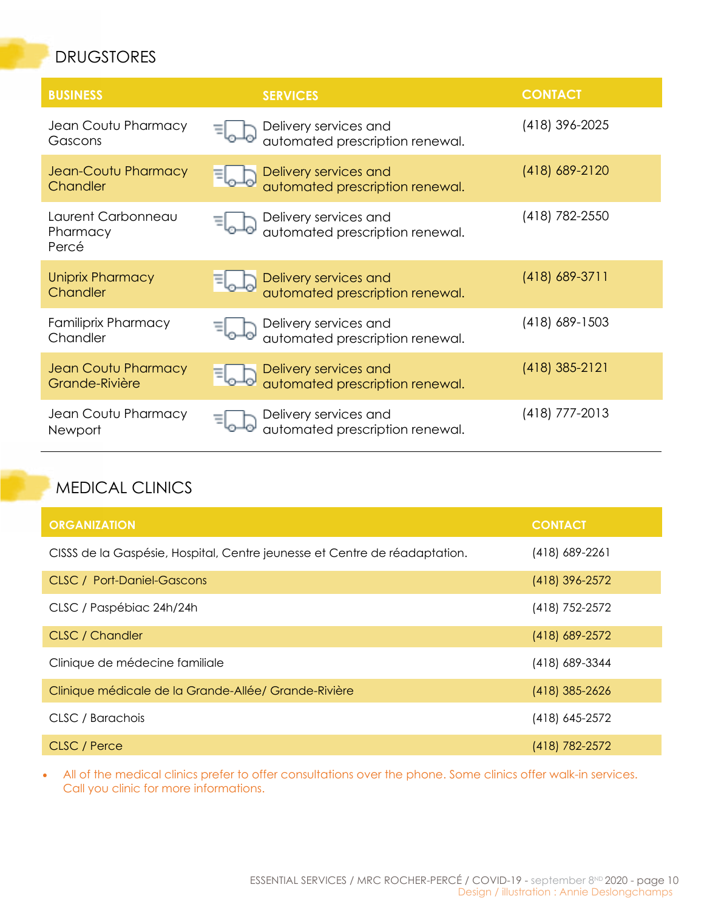### DRUGSTORES

| <b>BUSINESS</b>                              | <b>SERVICES</b>                                          | <b>CONTACT</b>   |
|----------------------------------------------|----------------------------------------------------------|------------------|
| Jean Coutu Pharmacy<br>Gascons               | Delivery services and<br>automated prescription renewal. | $(418)$ 396-2025 |
| Jean-Coutu Pharmacy<br>Chandler              | Delivery services and<br>automated prescription renewal. | $(418)$ 689-2120 |
| Laurent Carbonneau<br>Pharmacy<br>Percé      | Delivery services and<br>automated prescription renewal. | (418) 782-2550   |
| <b>Uniprix Pharmacy</b><br>Chandler          | Delivery services and<br>automated prescription renewal. | $(418)$ 689-3711 |
| <b>Familiprix Pharmacy</b><br>Chandler       | Delivery services and<br>automated prescription renewal. | $(418)$ 689-1503 |
| <b>Jean Coutu Pharmacy</b><br>Grande-Rivière | Delivery services and<br>automated prescription renewal. | $(418)$ 385-2121 |
| Jean Coutu Pharmacy<br>Newport               | Delivery services and<br>automated prescription renewal. | (418) 777-2013   |

### MEDICAL CLINICS

| <b>ORGANIZATION</b>                                                        | <b>CONTACT</b>   |
|----------------------------------------------------------------------------|------------------|
| CISSS de la Gaspésie, Hospital, Centre jeunesse et Centre de réadaptation. | (418) 689-2261   |
| <b>CLSC / Port-Daniel-Gascons</b>                                          | (418) 396-2572   |
| CLSC / Paspébiac 24h/24h                                                   | (418) 752-2572   |
| <b>CLSC</b> / Chandler                                                     | $(418)$ 689-2572 |
| Clinique de médecine familiale                                             | (418) 689-3344   |
| Clinique médicale de la Grande-Allée/ Grande-Rivière                       | $(418)$ 385-2626 |
| CLSC / Barachois                                                           | (418) 645-2572   |
| CLSC / Perce                                                               | (418) 782-2572   |

• All of the medical clinics prefer to offer consultations over the phone. Some clinics offer walk-in services. Call you clinic for more informations.